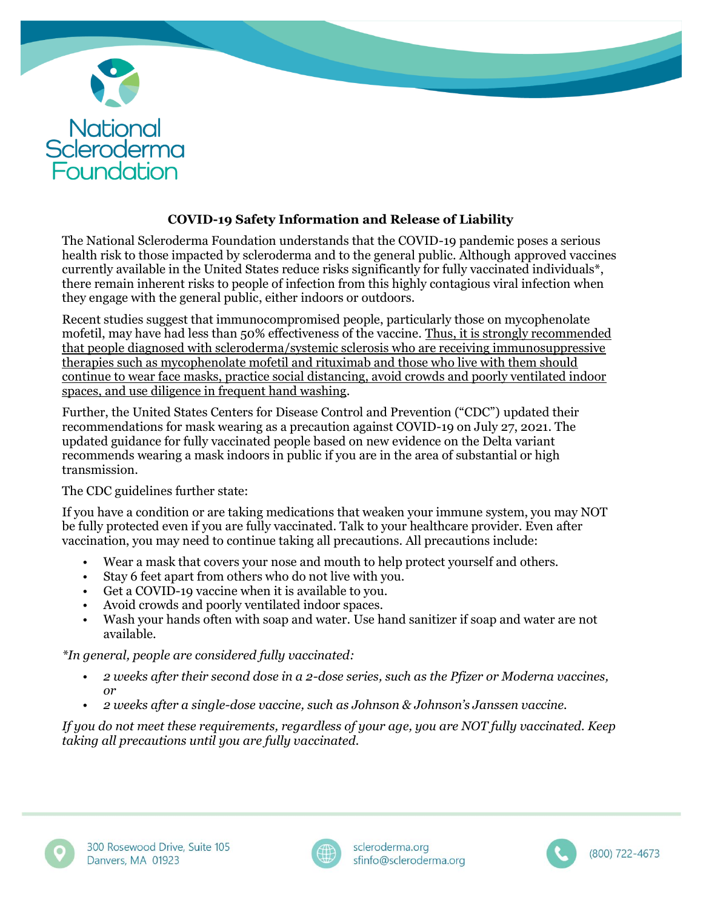

## **COVID-19 Safety Information and Release of Liability**

The National Scleroderma Foundation understands that the COVID-19 pandemic poses a serious health risk to those impacted by scleroderma and to the general public. Although approved vaccines currently available in the United States reduce risks significantly for fully vaccinated individuals\*, there remain inherent risks to people of infection from this highly contagious viral infection when they engage with the general public, either indoors or outdoors.

Recent studies suggest that immunocompromised people, particularly those on mycophenolate mofetil, may have had less than 50% effectiveness of the vaccine. Thus, it is strongly recommended that people diagnosed with scleroderma/systemic sclerosis who are receiving immunosuppressive therapies such as mycophenolate mofetil and rituximab and those who live with them should continue to wear face masks, practice social distancing, avoid crowds and poorly ventilated indoor spaces, and use diligence in frequent hand washing.

Further, the United States Centers for Disease Control and Prevention ("CDC") updated their recommendations for mask wearing as a precaution against COVID-19 on July 27, 2021. The updated guidance for fully vaccinated people based on new evidence on the Delta variant recommends wearing a mask indoors in public if you are in the area of substantial or high transmission.

The CDC guidelines further state:

If you have a condition or are taking medications that weaken your immune system, you may NOT be fully protected even if you are fully vaccinated. Talk to your healthcare provider. Even after vaccination, you may need to continue taking all precautions. All precautions include:

- Wear a mask that covers your nose and mouth to help protect yourself and others.
- Stay 6 feet apart from others who do not live with you.
- Get a COVID-19 vaccine when it is available to you.
- Avoid crowds and poorly ventilated indoor spaces.
- Wash your hands often with soap and water. Use hand sanitizer if soap and water are not available.

*\*In general, people are considered fully vaccinated:*

- *2 weeks after their second dose in a 2-dose series, such as the Pfizer or Moderna vaccines, or*
- *2 weeks after a single-dose vaccine, such as Johnson & Johnson's Janssen vaccine.*

*If you do not meet these requirements, regardless of your age, you are NOT fully vaccinated. Keep taking all precautions until you are fully vaccinated.*